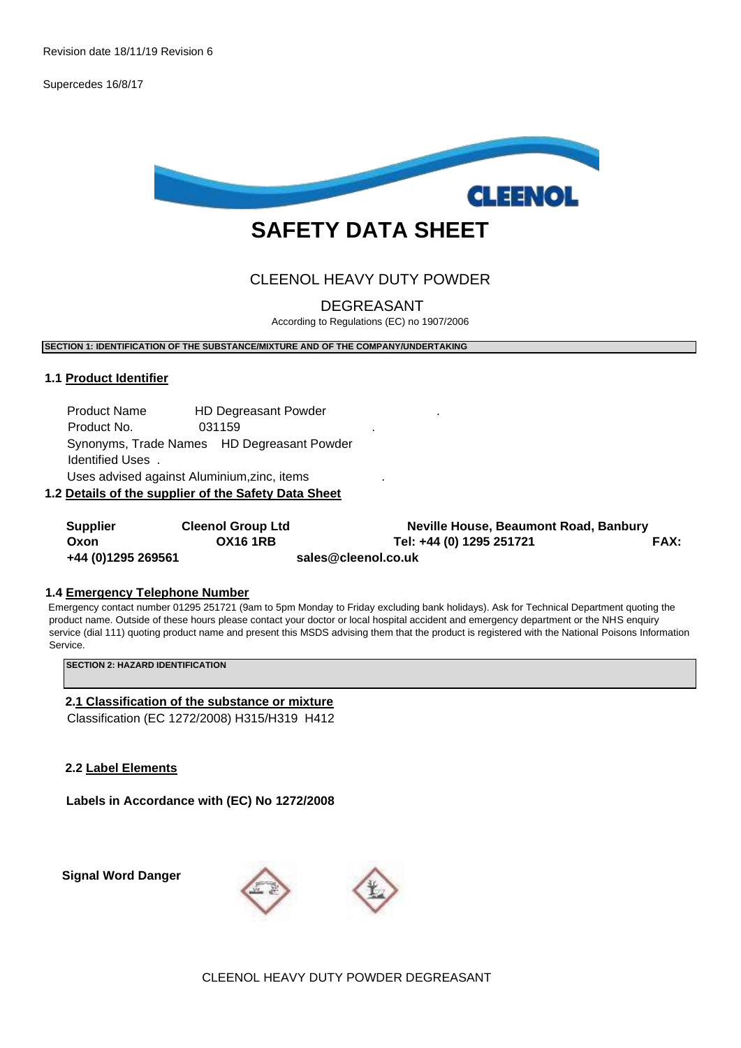Supercedes 16/8/17



# **SAFETY DATA SHEET**

## CLEENOL HEAVY DUTY POWDER

DEGREASANT

According to Regulations (EC) no 1907/2006

**SECTION 1: IDENTIFICATION OF THE SUBSTANCE/MIXTURE AND OF THE COMPANY/UNDERTAKING** 

## **1.1 Product Identifier**

Product Name **HD Degreasant Powder** Product No. 031159 . Synonyms, Trade Names HD Degreasant Powder Identified Uses . Uses advised against Aluminium,zinc, items .

**1.2 Details of the supplier of the Safety Data Sheet**

| <b>Supplier</b>    | <b>Cleenol Group Ltd</b> | Neville House, Beaumont Road, Banbury |             |
|--------------------|--------------------------|---------------------------------------|-------------|
| Oxon               | <b>OX16 1RB</b>          | Tel: +44 (0) 1295 251721              | <b>FAX:</b> |
| +44 (0)1295 269561 |                          | sales@cleenol.co.uk                   |             |

### **1.4 Emergency Telephone Number**

Emergency contact number 01295 251721 (9am to 5pm Monday to Friday excluding bank holidays). Ask for Technical Department quoting the product name. Outside of these hours please contact your doctor or local hospital accident and emergency department or the NHS enquiry service (dial 111) quoting product name and present this MSDS advising them that the product is registered with the National Poisons Information Service.

**SECTION 2: HAZARD IDENTIFICATION** 

## **2.1 Classification of the substance or mixture**

Classification (EC 1272/2008) H315/H319 H412

**2.2 Label Elements**

**Labels in Accordance with (EC) No 1272/2008** 

 **Signal Word Danger** 

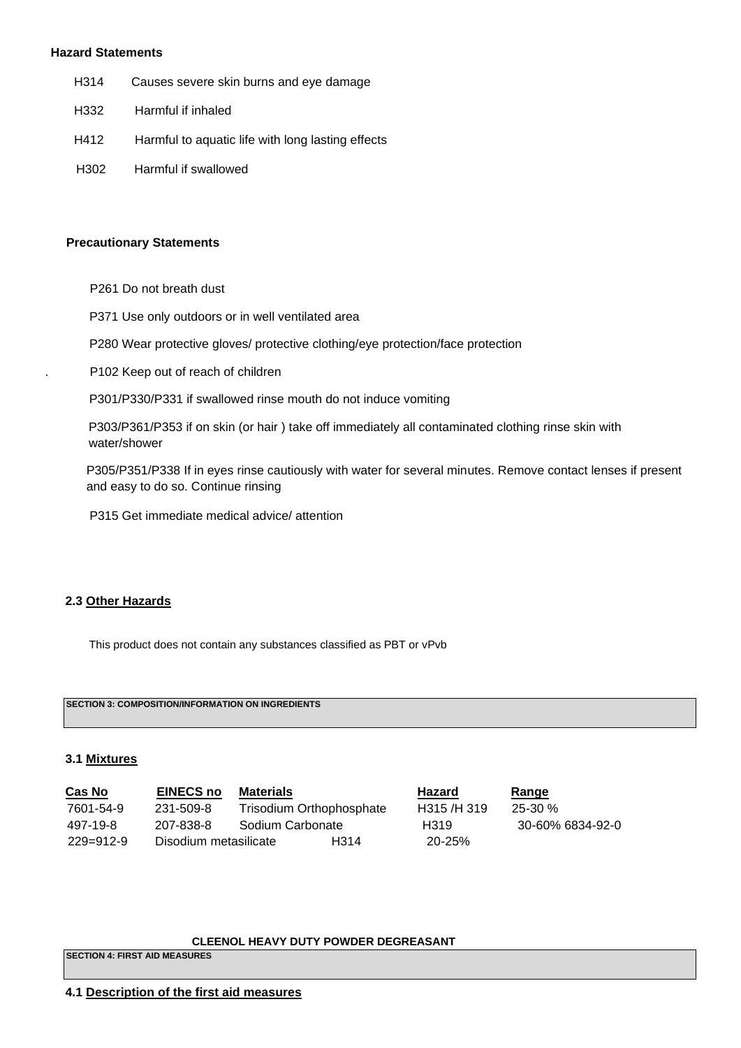#### **Hazard Statements**

- H314 Causes severe skin burns and eye damage
- H332 Harmful if inhaled
- H412 Harmful to aquatic life with long lasting effects
- H302 Harmful if swallowed

#### **Precautionary Statements**

- P261 Do not breath dust
- P371 Use only outdoors or in well ventilated area
- P280 Wear protective gloves/ protective clothing/eye protection/face protection
- . P102 Keep out of reach of children

P301/P330/P331 if swallowed rinse mouth do not induce vomiting

 P303/P361/P353 if on skin (or hair ) take off immediately all contaminated clothing rinse skin with water/shower

 P305/P351/P338 If in eyes rinse cautiously with water for several minutes. Remove contact lenses if present and easy to do so. Continue rinsing

P315 Get immediate medical advice/ attention

## **2.3 Other Hazards**

This product does not contain any substances classified as PBT or vPvb

**SECTION 3: COMPOSITION/INFORMATION ON INGREDIENTS** 

## **3.1 Mixtures**

| <b>Cas No</b> | <b>EINECS no</b>      | Materials                |      | <b>Hazard</b> | <u>Range</u>     |
|---------------|-----------------------|--------------------------|------|---------------|------------------|
| 7601-54-9     | 231-509-8             | Trisodium Orthophosphate |      | H315/H319     | $25-30\%$        |
| 497-19-8      | 207-838-8             | Sodium Carbonate         |      | H319          | 30-60% 6834-92-0 |
| 229=912-9     | Disodium metasilicate |                          | H314 | $20 - 25%$    |                  |

#### **CLEENOL HEAVY DUTY POWDER DEGREASANT**

**SECTION 4: FIRST AID MEASURES** 

## **4.1 Description of the first aid measures**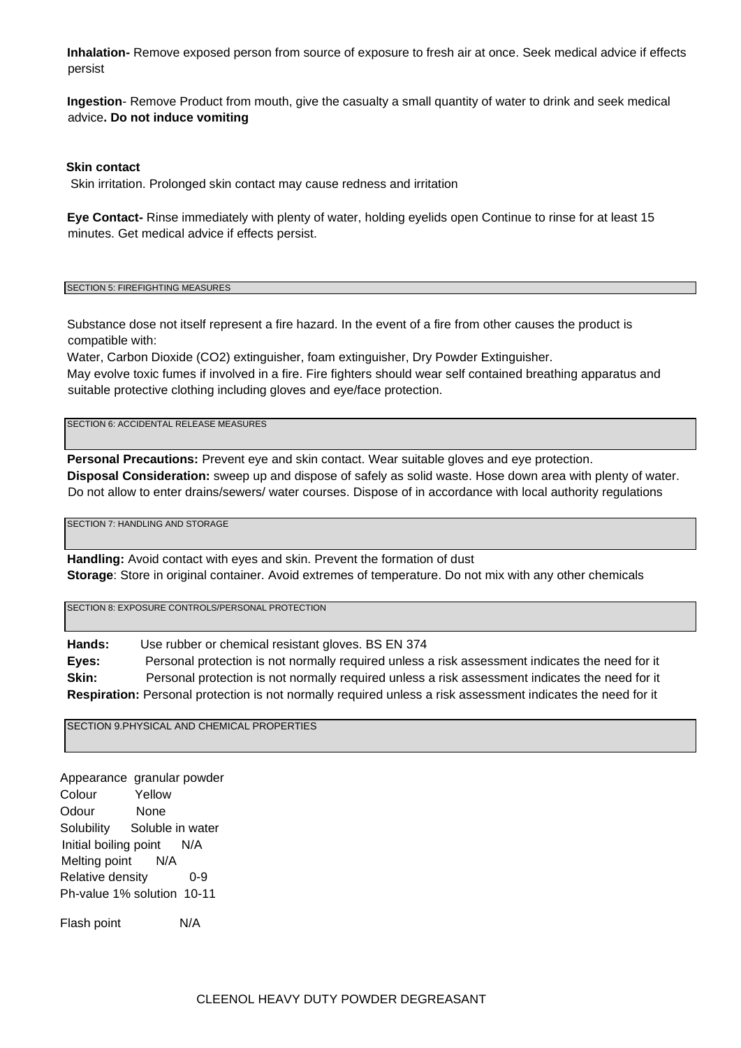**Inhalation-** Remove exposed person from source of exposure to fresh air at once. Seek medical advice if effects persist

**Ingestion**- Remove Product from mouth, give the casualty a small quantity of water to drink and seek medical advice**. Do not induce vomiting**

### **Skin contact**

Skin irritation. Prolonged skin contact may cause redness and irritation

**Eye Contact-** Rinse immediately with plenty of water, holding eyelids open Continue to rinse for at least 15 minutes. Get medical advice if effects persist.

#### SECTION 5: FIREFIGHTING MEASURES

Substance dose not itself represent a fire hazard. In the event of a fire from other causes the product is compatible with:

Water, Carbon Dioxide (CO2) extinguisher, foam extinguisher, Dry Powder Extinguisher. May evolve toxic fumes if involved in a fire. Fire fighters should wear self contained breathing apparatus and suitable protective clothing including gloves and eye/face protection.

SECTION 6: ACCIDENTAL RELEASE MEASURES

**Personal Precautions:** Prevent eye and skin contact. Wear suitable gloves and eye protection. **Disposal Consideration:** sweep up and dispose of safely as solid waste. Hose down area with plenty of water. Do not allow to enter drains/sewers/ water courses. Dispose of in accordance with local authority regulations

SECTION 7: HANDLING AND STORAGE

**Handling:** Avoid contact with eyes and skin. Prevent the formation of dust **Storage**: Store in original container. Avoid extremes of temperature. Do not mix with any other chemicals

SECTION 8: EXPOSURE CONTROLS/PERSONAL PROTECTION

**Hands:** Use rubber or chemical resistant gloves. BS EN 374 **Eyes:** Personal protection is not normally required unless a risk assessment indicates the need for it **Skin:** Personal protection is not normally required unless a risk assessment indicates the need for it **Respiration:** Personal protection is not normally required unless a risk assessment indicates the need for it

SECTION 9.PHYSICAL AND CHEMICAL PROPERTIES

 Appearance granular powder Colour Yellow Odour None Solubility Soluble in water Initial boiling point N/A Melting point N/A Relative density 0-9 Ph-value 1% solution 10-11

Flash point N/A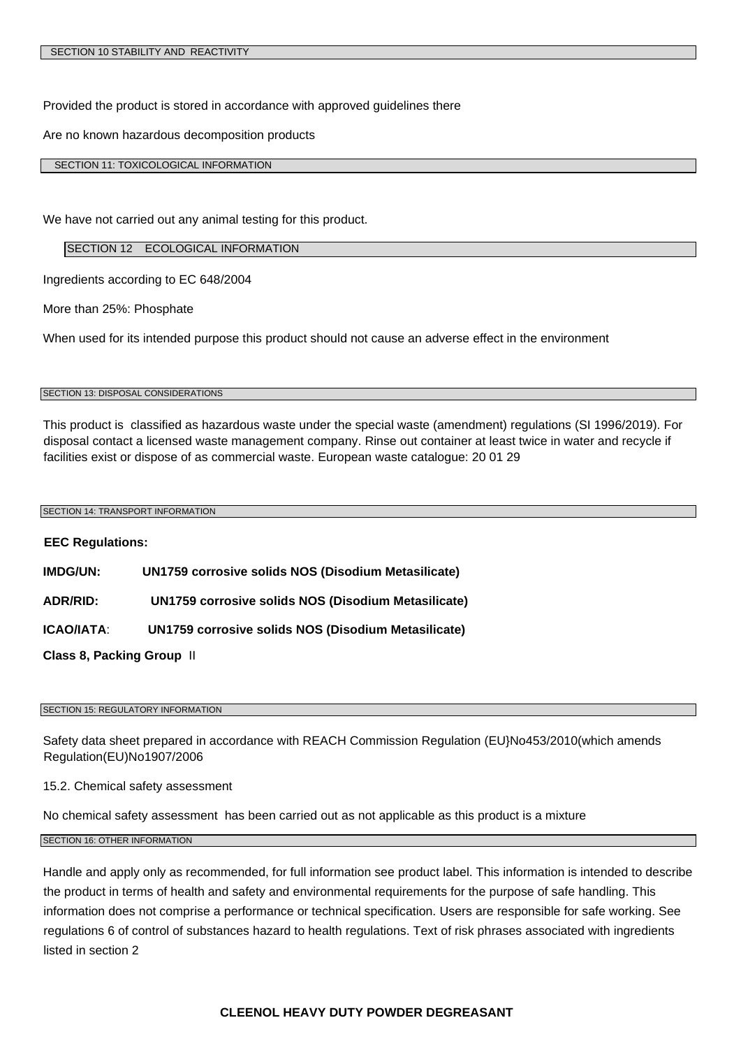Provided the product is stored in accordance with approved guidelines there

Are no known hazardous decomposition products

SECTION 11: TOXICOLOGICAL INFORMATION

We have not carried out any animal testing for this product.

#### SECTION 12 ECOLOGICAL INFORMATION

Ingredients according to EC 648/2004

More than 25%: Phosphate

When used for its intended purpose this product should not cause an adverse effect in the environment

#### SECTION 13: DISPOSAL CONSIDERATIONS

This product is classified as hazardous waste under the special waste (amendment) regulations (SI 1996/2019). For disposal contact a licensed waste management company. Rinse out container at least twice in water and recycle if facilities exist or dispose of as commercial waste. European waste catalogue: 20 01 29

#### SECTION 14: TRANSPORT INFORMATION

**EEC Regulations: IMDG/UN: UN1759 corrosive solids NOS (Disodium Metasilicate) ADR/RID: UN1759 corrosive solids NOS (Disodium Metasilicate) ICAO/IATA**: **UN1759 corrosive solids NOS (Disodium Metasilicate) Class 8, Packing Group** II

#### SECTION 15: REGULATORY INFORMATION

Safety data sheet prepared in accordance with REACH Commission Regulation (EU}No453/2010(which amends Regulation(EU)No1907/2006

15.2. Chemical safety assessment

No chemical safety assessment has been carried out as not applicable as this product is a mixture

SECTION 16: OTHER INFORMATION

Handle and apply only as recommended, for full information see product label. This information is intended to describe the product in terms of health and safety and environmental requirements for the purpose of safe handling. This information does not comprise a performance or technical specification. Users are responsible for safe working. See regulations 6 of control of substances hazard to health regulations. Text of risk phrases associated with ingredients listed in section 2

### **CLEENOL HEAVY DUTY POWDER DEGREASANT**